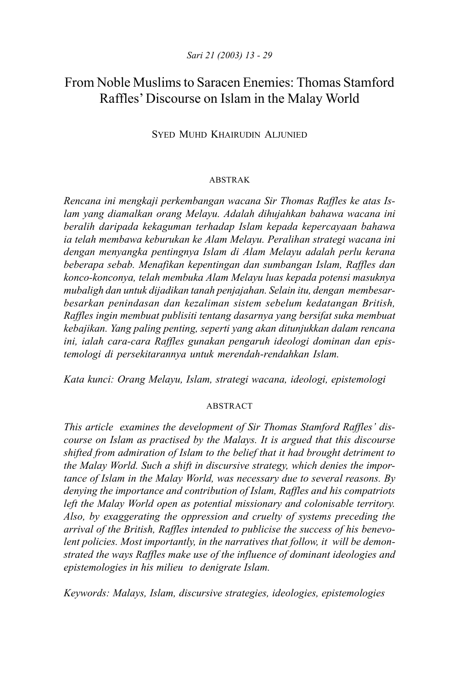# From Noble Muslims to Saracen Enemies: Thomas Stamford Raffles' Discourse on Islam in the Malay World

## SYED MUHD KHAIRUDIN ALJUNIED

#### ABSTRAK

*Rencana ini mengkaji perkembangan wacana Sir Thomas Raffles ke atas Islam yang diamalkan orang Melayu. Adalah dihujahkan bahawa wacana ini beralih daripada kekaguman terhadap Islam kepada kepercayaan bahawa ia telah membawa keburukan ke Alam Melayu. Peralihan strategi wacana ini dengan menyangka pentingnya Islam di Alam Melayu adalah perlu kerana beberapa sebab. Menafikan kepentingan dan sumbangan Islam, Raffles dan konco-konconya, telah membuka Alam Melayu luas kepada potensi masuknya mubaligh dan untuk dijadikan tanah penjajahan. Selain itu, dengan membesarbesarkan penindasan dan kezaliman sistem sebelum kedatangan British, Raffles ingin membuat publisiti tentang dasarnya yang bersifat suka membuat kebajikan. Yang paling penting, seperti yang akan ditunjukkan dalam rencana ini, ialah cara-cara Raffles gunakan pengaruh ideologi dominan dan epistemologi di persekitarannya untuk merendah-rendahkan Islam.*

*Kata kunci: Orang Melayu, Islam, strategi wacana, ideologi, epistemologi*

## ABSTRACT

*This article examines the development of Sir Thomas Stamford Raffles' discourse on Islam as practised by the Malays. It is argued that this discourse shifted from admiration of Islam to the belief that it had brought detriment to the Malay World. Such a shift in discursive strategy, which denies the importance of Islam in the Malay World, was necessary due to several reasons. By denying the importance and contribution of Islam, Raffles and his compatriots left the Malay World open as potential missionary and colonisable territory. Also, by exaggerating the oppression and cruelty of systems preceding the arrival of the British, Raffles intended to publicise the success of his benevolent policies. Most importantly, in the narratives that follow, it will be demonstrated the ways Raffles make use of the influence of dominant ideologies and epistemologies in his milieu to denigrate Islam.*

*Keywords: Malays, Islam, discursive strategies, ideologies, epistemologies*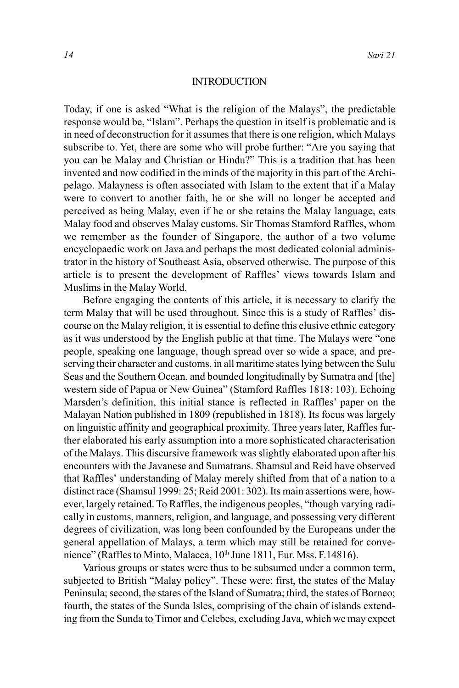#### **INTRODUCTION**

Today, if one is asked "What is the religion of the Malays", the predictable response would be, "Islam". Perhaps the question in itself is problematic and is in need of deconstruction for it assumes that there is one religion, which Malays subscribe to. Yet, there are some who will probe further: "Are you saying that you can be Malay and Christian or Hindu?" This is a tradition that has been invented and now codified in the minds of the majority in this part of the Archipelago. Malayness is often associated with Islam to the extent that if a Malay were to convert to another faith, he or she will no longer be accepted and perceived as being Malay, even if he or she retains the Malay language, eats Malay food and observes Malay customs. Sir Thomas Stamford Raffles, whom we remember as the founder of Singapore, the author of a two volume encyclopaedic work on Java and perhaps the most dedicated colonial administrator in the history of Southeast Asia, observed otherwise. The purpose of this article is to present the development of Raffles' views towards Islam and Muslims in the Malay World.

Before engaging the contents of this article, it is necessary to clarify the term Malay that will be used throughout. Since this is a study of Raffles' discourse on the Malay religion, it is essential to define this elusive ethnic category as it was understood by the English public at that time. The Malays were "one people, speaking one language, though spread over so wide a space, and preserving their character and customs, in all maritime states lying between the Sulu Seas and the Southern Ocean, and bounded longitudinally by Sumatra and [the] western side of Papua or New Guinea" (Stamford Raffles 1818: 103). Echoing Marsden's definition, this initial stance is reflected in Raffles' paper on the Malayan Nation published in 1809 (republished in 1818). Its focus was largely on linguistic affinity and geographical proximity. Three years later, Raffles further elaborated his early assumption into a more sophisticated characterisation of the Malays. This discursive framework was slightly elaborated upon after his encounters with the Javanese and Sumatrans. Shamsul and Reid have observed that Raffles' understanding of Malay merely shifted from that of a nation to a distinct race (Shamsul 1999: 25; Reid 2001: 302). Its main assertions were, however, largely retained. To Raffles, the indigenous peoples, "though varying radically in customs, manners, religion, and language, and possessing very different degrees of civilization, was long been confounded by the Europeans under the general appellation of Malays, a term which may still be retained for convenience" (Raffles to Minto, Malacca, 10<sup>th</sup> June 1811, Eur. Mss. F.14816).

Various groups or states were thus to be subsumed under a common term, subjected to British "Malay policy". These were: first, the states of the Malay Peninsula; second, the states of the Island of Sumatra; third, the states of Borneo; fourth, the states of the Sunda Isles, comprising of the chain of islands extending from the Sunda to Timor and Celebes, excluding Java, which we may expect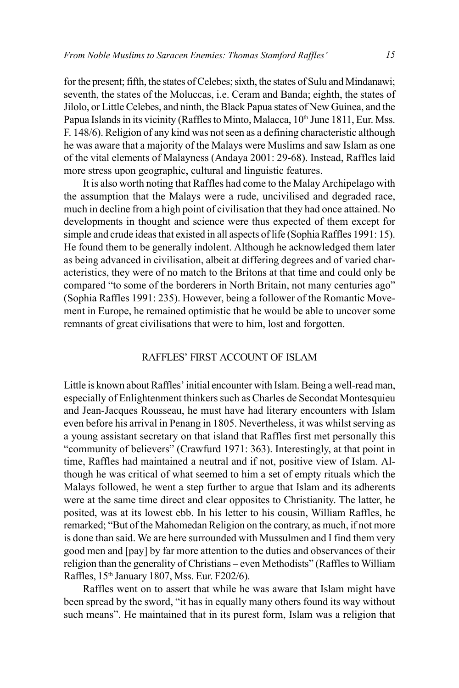for the present; fifth, the states of Celebes; sixth, the states of Sulu and Mindanawi; seventh, the states of the Moluccas, i.e. Ceram and Banda; eighth, the states of Jilolo, or Little Celebes, and ninth, the Black Papua states of New Guinea, and the Papua Islands in its vicinity (Raffles to Minto, Malacca, 10<sup>th</sup> June 1811, Eur. Mss. F. 148/6). Religion of any kind was not seen as a defining characteristic although he was aware that a majority of the Malays were Muslims and saw Islam as one of the vital elements of Malayness (Andaya 2001: 29-68). Instead, Raffles laid more stress upon geographic, cultural and linguistic features.

It is also worth noting that Raffles had come to the Malay Archipelago with the assumption that the Malays were a rude, uncivilised and degraded race, much in decline from a high point of civilisation that they had once attained. No developments in thought and science were thus expected of them except for simple and crude ideas that existed in all aspects of life (Sophia Raffles 1991: 15). He found them to be generally indolent. Although he acknowledged them later as being advanced in civilisation, albeit at differing degrees and of varied characteristics, they were of no match to the Britons at that time and could only be compared "to some of the borderers in North Britain, not many centuries ago" (Sophia Raffles 1991: 235). However, being a follower of the Romantic Movement in Europe, he remained optimistic that he would be able to uncover some remnants of great civilisations that were to him, lost and forgotten.

## RAFFLES' FIRST ACCOUNT OF ISLAM

Little is known about Raffles' initial encounter with Islam. Being a well-read man, especially of Enlightenment thinkers such as Charles de Secondat Montesquieu and Jean-Jacques Rousseau, he must have had literary encounters with Islam even before his arrival in Penang in 1805. Nevertheless, it was whilst serving as a young assistant secretary on that island that Raffles first met personally this "community of believers" (Crawfurd 1971: 363). Interestingly, at that point in time, Raffles had maintained a neutral and if not, positive view of Islam. Although he was critical of what seemed to him a set of empty rituals which the Malays followed, he went a step further to argue that Islam and its adherents were at the same time direct and clear opposites to Christianity. The latter, he posited, was at its lowest ebb. In his letter to his cousin, William Raffles, he remarked; "But of the Mahomedan Religion on the contrary, as much, if not more is done than said. We are here surrounded with Mussulmen and I find them very good men and [pay] by far more attention to the duties and observances of their religion than the generality of Christians – even Methodists" (Raffles to William Raffles, 15th January 1807, Mss. Eur. F202/6).

Raffles went on to assert that while he was aware that Islam might have been spread by the sword, "it has in equally many others found its way without such means". He maintained that in its purest form, Islam was a religion that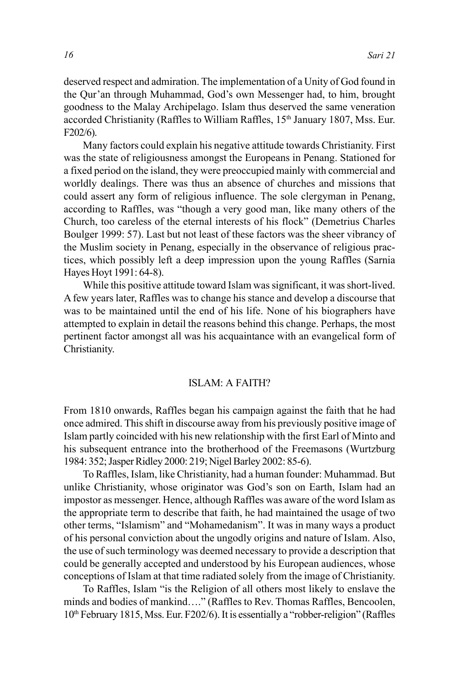deserved respect and admiration. The implementation of a Unity of God found in the Qur'an through Muhammad, God's own Messenger had, to him, brought goodness to the Malay Archipelago. Islam thus deserved the same veneration accorded Christianity (Raffles to William Raffles, 15<sup>th</sup> January 1807, Mss. Eur. F202/6).

Many factors could explain his negative attitude towards Christianity. First was the state of religiousness amongst the Europeans in Penang. Stationed for a fixed period on the island, they were preoccupied mainly with commercial and worldly dealings. There was thus an absence of churches and missions that could assert any form of religious influence. The sole clergyman in Penang, according to Raffles, was "though a very good man, like many others of the Church, too careless of the eternal interests of his flock" (Demetrius Charles Boulger 1999: 57). Last but not least of these factors was the sheer vibrancy of the Muslim society in Penang, especially in the observance of religious practices, which possibly left a deep impression upon the young Raffles (Sarnia Hayes Hoyt 1991: 64-8).

While this positive attitude toward Islam was significant, it was short-lived. A few years later, Raffles was to change his stance and develop a discourse that was to be maintained until the end of his life. None of his biographers have attempted to explain in detail the reasons behind this change. Perhaps, the most pertinent factor amongst all was his acquaintance with an evangelical form of Christianity.

## ISLAM: A FAITH?

From 1810 onwards, Raffles began his campaign against the faith that he had once admired. This shift in discourse away from his previously positive image of Islam partly coincided with his new relationship with the first Earl of Minto and his subsequent entrance into the brotherhood of the Freemasons (Wurtzburg 1984: 352; Jasper Ridley 2000: 219; Nigel Barley 2002: 85-6).

To Raffles, Islam, like Christianity, had a human founder: Muhammad. But unlike Christianity, whose originator was God's son on Earth, Islam had an impostor as messenger. Hence, although Raffles was aware of the word Islam as the appropriate term to describe that faith, he had maintained the usage of two other terms, "Islamism" and "Mohamedanism". It was in many ways a product of his personal conviction about the ungodly origins and nature of Islam. Also, the use of such terminology was deemed necessary to provide a description that could be generally accepted and understood by his European audiences, whose conceptions of Islam at that time radiated solely from the image of Christianity.

To Raffles, Islam "is the Religion of all others most likely to enslave the minds and bodies of mankind…." (Raffles to Rev. Thomas Raffles, Bencoolen, 10th February 1815, Mss. Eur. F202/6). It is essentially a "robber-religion" (Raffles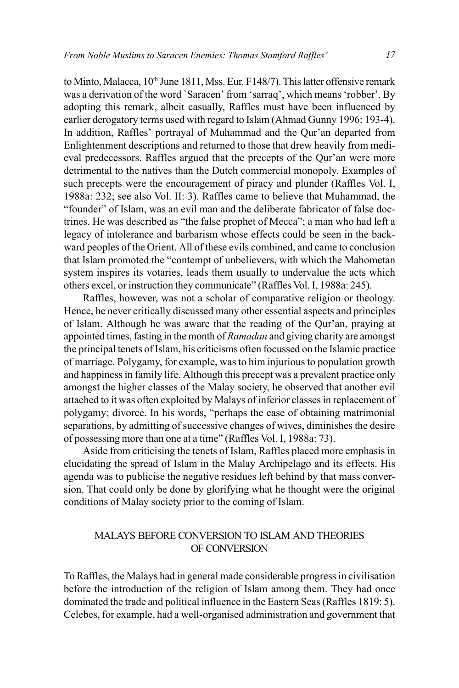to Minto, Malacca, 10<sup>th</sup> June 1811, Mss. Eur. F148/7). This latter offensive remark was a derivation of the word `Saracen' from 'sarraq', which means 'robber'. By adopting this remark, albeit casually, Raffles must have been influenced by earlier derogatory terms used with regard to Islam (Ahmad Gunny 1996: 193-4). In addition, Raffles' portrayal of Muhammad and the Qur'an departed from Enlightenment descriptions and returned to those that drew heavily from medieval predecessors. Raffles argued that the precepts of the Qur'an were more detrimental to the natives than the Dutch commercial monopoly. Examples of such precepts were the encouragement of piracy and plunder (Raffles Vol. I, 1988a: 232; see also Vol. II: 3). Raffles came to believe that Muhammad, the "founder" of Islam, was an evil man and the deliberate fabricator of false doctrines. He was described as "the false prophet of Mecca"; a man who had left a legacy of intolerance and barbarism whose effects could be seen in the backward peoples of the Orient. All of these evils combined, and came to conclusion that Islam promoted the "contempt of unbelievers, with which the Mahometan system inspires its votaries, leads them usually to undervalue the acts which others excel, or instruction they communicate" (Raffles Vol. I, 1988a: 245).

Raffles, however, was not a scholar of comparative religion or theology. Hence, he never critically discussed many other essential aspects and principles of Islam. Although he was aware that the reading of the Qur'an, praying at appointed times, fasting in the month of *Ramadan* and giving charity are amongst the principal tenets of Islam, his criticisms often focussed on the Islamic practice of marriage. Polygamy, for example, was to him injurious to population growth and happiness in family life. Although this precept was a prevalent practice only amongst the higher classes of the Malay society, he observed that another evil attached to it was often exploited by Malays of inferior classes in replacement of polygamy; divorce. In his words, "perhaps the ease of obtaining matrimonial separations, by admitting of successive changes of wives, diminishes the desire of possessing more than one at a time" (Raffles Vol. I, 1988a: 73).

Aside from criticising the tenets of Islam, Raffles placed more emphasis in elucidating the spread of Islam in the Malay Archipelago and its effects. His agenda was to publicise the negative residues left behind by that mass conversion. That could only be done by glorifying what he thought were the original conditions of Malay society prior to the coming of Islam.

## MALAYS BEFORE CONVERSION TO ISLAM AND THEORIES OF CONVERSION

To Raffles, the Malays had in general made considerable progress in civilisation before the introduction of the religion of Islam among them. They had once dominated the trade and political influence in the Eastern Seas (Raffles 1819: 5). Celebes, for example, had a well-organised administration and government that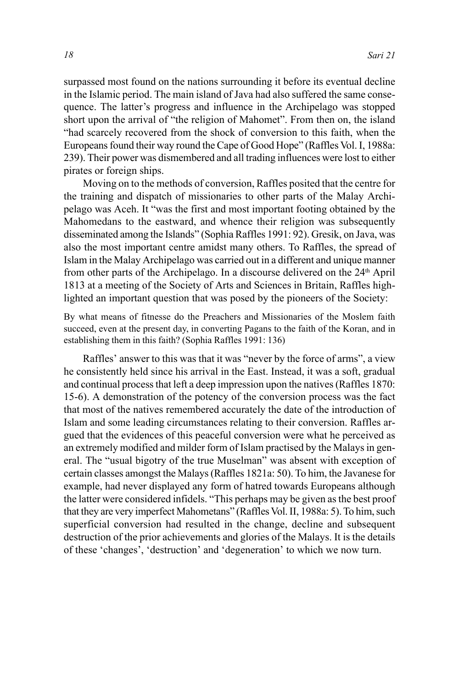surpassed most found on the nations surrounding it before its eventual decline in the Islamic period. The main island of Java had also suffered the same consequence. The latter's progress and influence in the Archipelago was stopped short upon the arrival of "the religion of Mahomet". From then on, the island "had scarcely recovered from the shock of conversion to this faith, when the Europeans found their way round the Cape of Good Hope" (Raffles Vol. I, 1988a: 239). Their power was dismembered and all trading influences were lost to either pirates or foreign ships.

Moving on to the methods of conversion, Raffles posited that the centre for the training and dispatch of missionaries to other parts of the Malay Archipelago was Aceh. It "was the first and most important footing obtained by the Mahomedans to the eastward, and whence their religion was subsequently disseminated among the Islands" (Sophia Raffles 1991: 92). Gresik, on Java, was also the most important centre amidst many others. To Raffles, the spread of Islam in the Malay Archipelago was carried out in a different and unique manner from other parts of the Archipelago. In a discourse delivered on the 24<sup>th</sup> April 1813 at a meeting of the Society of Arts and Sciences in Britain, Raffles highlighted an important question that was posed by the pioneers of the Society:

By what means of fitnesse do the Preachers and Missionaries of the Moslem faith succeed, even at the present day, in converting Pagans to the faith of the Koran, and in establishing them in this faith? (Sophia Raffles 1991: 136)

Raffles' answer to this was that it was "never by the force of arms", a view he consistently held since his arrival in the East. Instead, it was a soft, gradual and continual process that left a deep impression upon the natives (Raffles 1870: 15-6). A demonstration of the potency of the conversion process was the fact that most of the natives remembered accurately the date of the introduction of Islam and some leading circumstances relating to their conversion. Raffles argued that the evidences of this peaceful conversion were what he perceived as an extremely modified and milder form of Islam practised by the Malays in general. The "usual bigotry of the true Muselman" was absent with exception of certain classes amongst the Malays (Raffles 1821a: 50). To him, the Javanese for example, had never displayed any form of hatred towards Europeans although the latter were considered infidels. "This perhaps may be given as the best proof that they are very imperfect Mahometans" (Raffles Vol. II, 1988a: 5). To him, such superficial conversion had resulted in the change, decline and subsequent destruction of the prior achievements and glories of the Malays. It is the details of these 'changes', 'destruction' and 'degeneration' to which we now turn.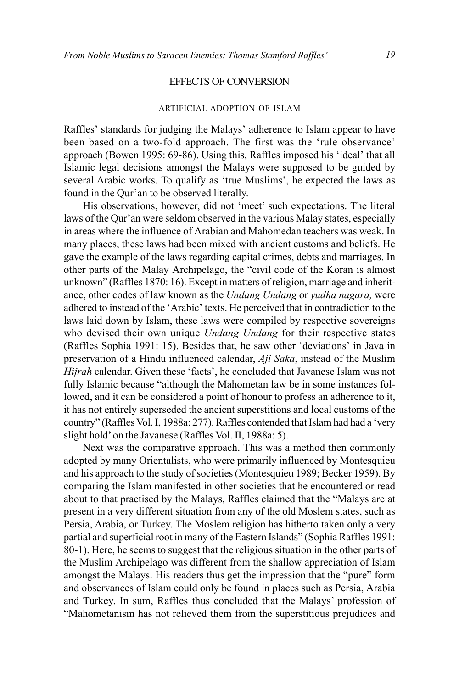#### EFFECTS OF CONVERSION

#### ARTIFICIAL ADOPTION OF ISLAM

Raffles' standards for judging the Malays' adherence to Islam appear to have been based on a two-fold approach. The first was the 'rule observance' approach (Bowen 1995: 69-86). Using this, Raffles imposed his 'ideal' that all Islamic legal decisions amongst the Malays were supposed to be guided by several Arabic works. To qualify as 'true Muslims', he expected the laws as found in the Qur'an to be observed literally.

His observations, however, did not 'meet' such expectations. The literal laws of the Qur'an were seldom observed in the various Malay states, especially in areas where the influence of Arabian and Mahomedan teachers was weak. In many places, these laws had been mixed with ancient customs and beliefs. He gave the example of the laws regarding capital crimes, debts and marriages. In other parts of the Malay Archipelago, the "civil code of the Koran is almost unknown" (Raffles 1870: 16). Except in matters of religion, marriage and inheritance, other codes of law known as the *Undang Undang* or *yudha nagara,* were adhered to instead of the 'Arabic' texts. He perceived that in contradiction to the laws laid down by Islam, these laws were compiled by respective sovereigns who devised their own unique *Undang Undang* for their respective states (Raffles Sophia 1991: 15). Besides that, he saw other 'deviations' in Java in preservation of a Hindu influenced calendar, *Aji Saka*, instead of the Muslim *Hijrah* calendar. Given these 'facts', he concluded that Javanese Islam was not fully Islamic because "although the Mahometan law be in some instances followed, and it can be considered a point of honour to profess an adherence to it, it has not entirely superseded the ancient superstitions and local customs of the country" (Raffles Vol. I, 1988a: 277). Raffles contended that Islam had had a 'very slight hold' on the Javanese (Raffles Vol. II, 1988a: 5).

Next was the comparative approach. This was a method then commonly adopted by many Orientalists, who were primarily influenced by Montesquieu and his approach to the study of societies (Montesquieu 1989; Becker 1959). By comparing the Islam manifested in other societies that he encountered or read about to that practised by the Malays, Raffles claimed that the "Malays are at present in a very different situation from any of the old Moslem states, such as Persia, Arabia, or Turkey. The Moslem religion has hitherto taken only a very partial and superficial root in many of the Eastern Islands" (Sophia Raffles 1991: 80-1). Here, he seems to suggest that the religious situation in the other parts of the Muslim Archipelago was different from the shallow appreciation of Islam amongst the Malays. His readers thus get the impression that the "pure" form and observances of Islam could only be found in places such as Persia, Arabia and Turkey. In sum, Raffles thus concluded that the Malays' profession of "Mahometanism has not relieved them from the superstitious prejudices and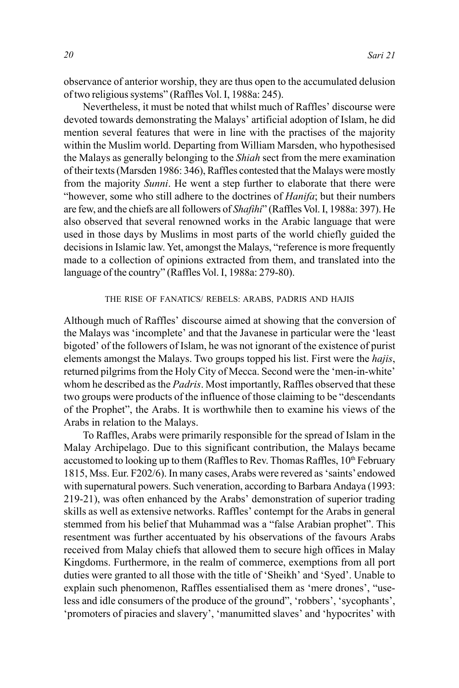observance of anterior worship, they are thus open to the accumulated delusion of two religious systems" (Raffles Vol. I, 1988a: 245).

Nevertheless, it must be noted that whilst much of Raffles' discourse were devoted towards demonstrating the Malays' artificial adoption of Islam, he did mention several features that were in line with the practises of the majority within the Muslim world. Departing from William Marsden, who hypothesised the Malays as generally belonging to the *Shiah* sect from the mere examination of their texts (Marsden 1986: 346), Raffles contested that the Malays were mostly from the majority *Sunni*. He went a step further to elaborate that there were "however, some who still adhere to the doctrines of *Hanifa*; but their numbers are few, and the chiefs are all followers of *Shafihi*" (Raffles Vol. I, 1988a: 397). He also observed that several renowned works in the Arabic language that were used in those days by Muslims in most parts of the world chiefly guided the decisions in Islamic law. Yet, amongst the Malays, "reference is more frequently made to a collection of opinions extracted from them, and translated into the language of the country" (Raffles Vol. I, 1988a: 279-80).

#### THE RISE OF FANATICS/ REBELS: ARABS, PADRIS AND HAJIS

Although much of Raffles' discourse aimed at showing that the conversion of the Malays was 'incomplete' and that the Javanese in particular were the 'least bigoted' of the followers of Islam, he was not ignorant of the existence of purist elements amongst the Malays. Two groups topped his list. First were the *hajis*, returned pilgrims from the Holy City of Mecca. Second were the 'men-in-white' whom he described as the *Padris*. Most importantly, Raffles observed that these two groups were products of the influence of those claiming to be "descendants of the Prophet", the Arabs. It is worthwhile then to examine his views of the Arabs in relation to the Malays.

To Raffles, Arabs were primarily responsible for the spread of Islam in the Malay Archipelago. Due to this significant contribution, the Malays became accustomed to looking up to them (Raffles to Rev. Thomas Raffles,  $10<sup>th</sup>$  February 1815, Mss. Eur. F202/6). In many cases, Arabs were revered as 'saints' endowed with supernatural powers. Such veneration, according to Barbara Andaya (1993: 219-21), was often enhanced by the Arabs' demonstration of superior trading skills as well as extensive networks. Raffles' contempt for the Arabs in general stemmed from his belief that Muhammad was a "false Arabian prophet". This resentment was further accentuated by his observations of the favours Arabs received from Malay chiefs that allowed them to secure high offices in Malay Kingdoms. Furthermore, in the realm of commerce, exemptions from all port duties were granted to all those with the title of 'Sheikh' and 'Syed'. Unable to explain such phenomenon, Raffles essentialised them as 'mere drones', "useless and idle consumers of the produce of the ground", 'robbers', 'sycophants', 'promoters of piracies and slavery', 'manumitted slaves' and 'hypocrites' with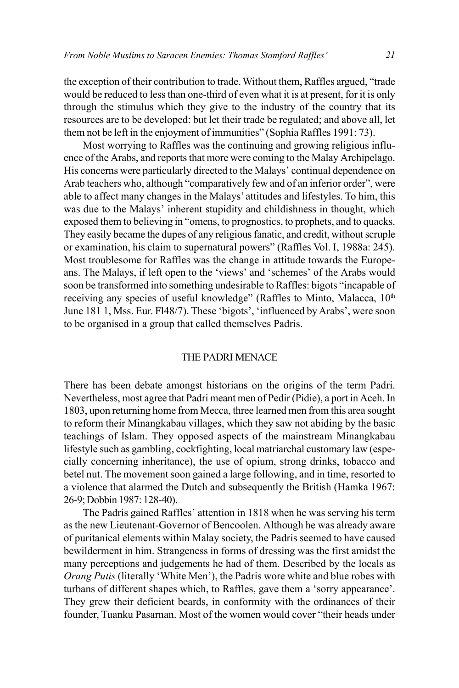the exception of their contribution to trade. Without them, Raffles argued, "trade would be reduced to less than one-third of even what it is at present, for it is only through the stimulus which they give to the industry of the country that its resources are to be developed: but let their trade be regulated; and above all, let them not be left in the enjoyment of immunities" (Sophia Raffles 1991: 73).

Most worrying to Raffles was the continuing and growing religious influence of the Arabs, and reports that more were coming to the Malay Archipelago. His concerns were particularly directed to the Malays' continual dependence on Arab teachers who, although "comparatively few and of an inferior order", were able to affect many changes in the Malays' attitudes and lifestyles. To him, this was due to the Malays' inherent stupidity and childishness in thought, which exposed them to believing in "omens, to prognostics, to prophets, and to quacks. They easily became the dupes of any religious fanatic, and credit, without scruple or examination, his claim to supernatural powers" (Raffles Vol. I, 1988a: 245). Most troublesome for Raffles was the change in attitude towards the Europeans. The Malays, if left open to the 'views' and 'schemes' of the Arabs would soon be transformed into something undesirable to Raffles: bigots "incapable of receiving any species of useful knowledge" (Raffles to Minto, Malacca, 10<sup>th</sup> June 181 1, Mss. Eur. Fl48/7). These 'bigots', 'influenced by Arabs', were soon to be organised in a group that called themselves Padris.

## THE PADRI MENACE

There has been debate amongst historians on the origins of the term Padri. Nevertheless, most agree that Padri meant men of Pedir (Pidie), a port in Aceh. In 1803, upon returning home from Mecca, three learned men from this area sought to reform their Minangkabau villages, which they saw not abiding by the basic teachings of Islam. They opposed aspects of the mainstream Minangkabau lifestyle such as gambling, cockfighting, local matriarchal customary law (especially concerning inheritance), the use of opium, strong drinks, tobacco and betel nut. The movement soon gained a large following, and in time, resorted to a violence that alarmed the Dutch and subsequently the British (Hamka 1967: 26-9; Dobbin 1987: 128-40).

The Padris gained Raffles' attention in 1818 when he was serving his term as the new Lieutenant-Governor of Bencoolen. Although he was already aware of puritanical elements within Malay society, the Padris seemed to have caused bewilderment in him. Strangeness in forms of dressing was the first amidst the many perceptions and judgements he had of them. Described by the locals as *Orang Putis* (literally 'White Men'), the Padris wore white and blue robes with turbans of different shapes which, to Raffles, gave them a 'sorry appearance'. They grew their deficient beards, in conformity with the ordinances of their founder, Tuanku Pasarnan. Most of the women would cover "their heads under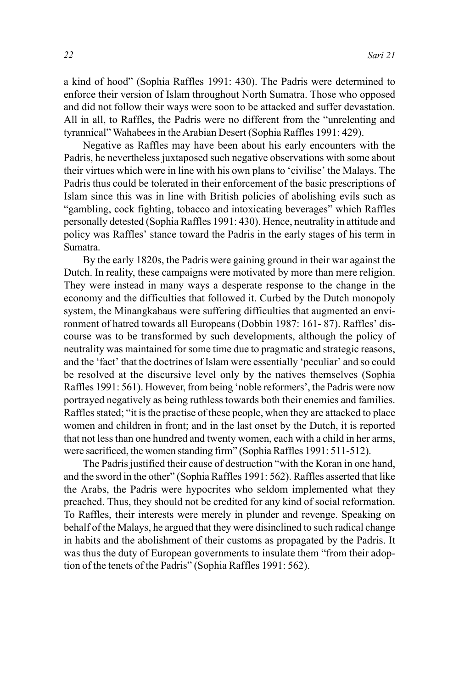a kind of hood" (Sophia Raffles 1991: 430). The Padris were determined to enforce their version of Islam throughout North Sumatra. Those who opposed and did not follow their ways were soon to be attacked and suffer devastation. All in all, to Raffles, the Padris were no different from the "unrelenting and tyrannical" Wahabees in the Arabian Desert (Sophia Raffles 1991: 429).

Negative as Raffles may have been about his early encounters with the Padris, he nevertheless juxtaposed such negative observations with some about their virtues which were in line with his own plans to 'civilise' the Malays. The Padris thus could be tolerated in their enforcement of the basic prescriptions of Islam since this was in line with British policies of abolishing evils such as "gambling, cock fighting, tobacco and intoxicating beverages" which Raffles personally detested (Sophia Raffles 1991: 430). Hence, neutrality in attitude and policy was Raffles' stance toward the Padris in the early stages of his term in Sumatra.

By the early 1820s, the Padris were gaining ground in their war against the Dutch. In reality, these campaigns were motivated by more than mere religion. They were instead in many ways a desperate response to the change in the economy and the difficulties that followed it. Curbed by the Dutch monopoly system, the Minangkabaus were suffering difficulties that augmented an environment of hatred towards all Europeans (Dobbin 1987: 161- 87). Raffles' discourse was to be transformed by such developments, although the policy of neutrality was maintained for some time due to pragmatic and strategic reasons, and the 'fact' that the doctrines of Islam were essentially 'peculiar' and so could be resolved at the discursive level only by the natives themselves (Sophia Raffles 1991: 561). However, from being 'noble reformers', the Padris were now portrayed negatively as being ruthless towards both their enemies and families. Raffles stated; "it is the practise of these people, when they are attacked to place women and children in front; and in the last onset by the Dutch, it is reported that not less than one hundred and twenty women, each with a child in her arms, were sacrificed, the women standing firm" (Sophia Raffles 1991: 511-512).

The Padris justified their cause of destruction "with the Koran in one hand, and the sword in the other" (Sophia Raffles 1991: 562). Raffles asserted that like the Arabs, the Padris were hypocrites who seldom implemented what they preached. Thus, they should not be credited for any kind of social reformation. To Raffles, their interests were merely in plunder and revenge. Speaking on behalf of the Malays, he argued that they were disinclined to such radical change in habits and the abolishment of their customs as propagated by the Padris. It was thus the duty of European governments to insulate them "from their adoption of the tenets of the Padris" (Sophia Raffles 1991: 562).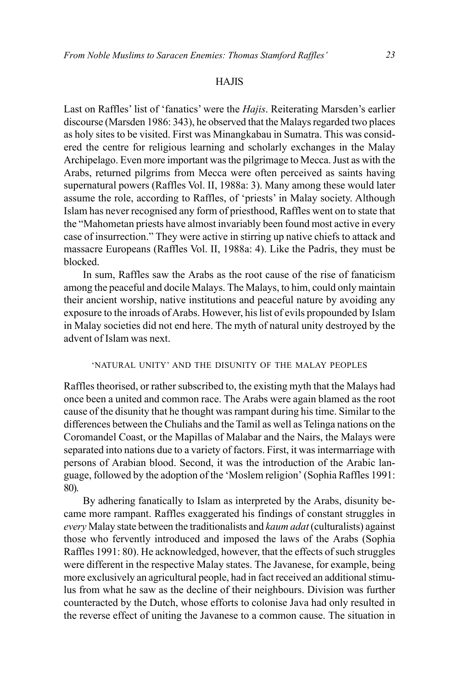#### HAJIS

Last on Raffles' list of 'fanatics' were the *Hajis*. Reiterating Marsden's earlier discourse (Marsden 1986: 343), he observed that the Malays regarded two places as holy sites to be visited. First was Minangkabau in Sumatra. This was considered the centre for religious learning and scholarly exchanges in the Malay Archipelago. Even more important was the pilgrimage to Mecca. Just as with the Arabs, returned pilgrims from Mecca were often perceived as saints having supernatural powers (Raffles Vol. II, 1988a: 3). Many among these would later assume the role, according to Raffles, of 'priests' in Malay society. Although Islam has never recognised any form of priesthood, Raffles went on to state that the "Mahometan priests have almost invariably been found most active in every case of insurrection." They were active in stirring up native chiefs to attack and massacre Europeans (Raffles Vol. II, 1988a: 4). Like the Padris, they must be blocked.

In sum, Raffles saw the Arabs as the root cause of the rise of fanaticism among the peaceful and docile Malays. The Malays, to him, could only maintain their ancient worship, native institutions and peaceful nature by avoiding any exposure to the inroads of Arabs. However, his list of evils propounded by Islam in Malay societies did not end here. The myth of natural unity destroyed by the advent of Islam was next.

## 'NATURAL UNITY' AND THE DISUNITY OF THE MALAY PEOPLES

Raffles theorised, or rather subscribed to, the existing myth that the Malays had once been a united and common race. The Arabs were again blamed as the root cause of the disunity that he thought was rampant during his time. Similar to the differences between the Chuliahs and the Tamil as well as Telinga nations on the Coromandel Coast, or the Mapillas of Malabar and the Nairs, the Malays were separated into nations due to a variety of factors. First, it was intermarriage with persons of Arabian blood. Second, it was the introduction of the Arabic language, followed by the adoption of the 'Moslem religion' (Sophia Raffles 1991: 80).

By adhering fanatically to Islam as interpreted by the Arabs, disunity became more rampant. Raffles exaggerated his findings of constant struggles in *every* Malay state between the traditionalists and *kaum adat* (culturalists) against those who fervently introduced and imposed the laws of the Arabs (Sophia Raffles 1991: 80). He acknowledged, however, that the effects of such struggles were different in the respective Malay states. The Javanese, for example, being more exclusively an agricultural people, had in fact received an additional stimulus from what he saw as the decline of their neighbours. Division was further counteracted by the Dutch, whose efforts to colonise Java had only resulted in the reverse effect of uniting the Javanese to a common cause. The situation in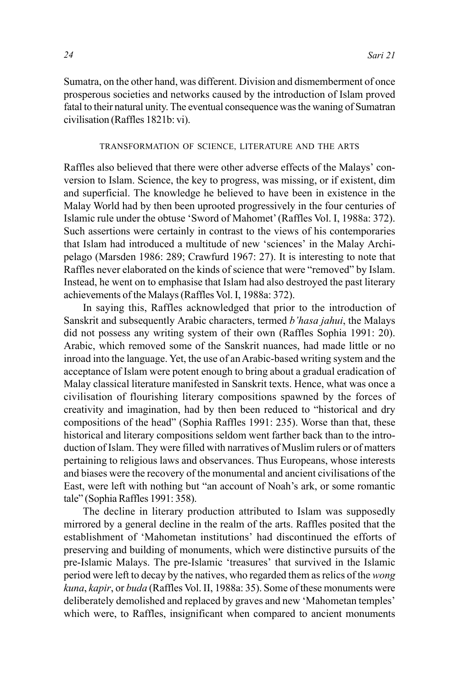Sumatra, on the other hand, was different. Division and dismemberment of once prosperous societies and networks caused by the introduction of Islam proved fatal to their natural unity. The eventual consequence was the waning of Sumatran civilisation (Raffles 1821b: vi).

#### TRANSFORMATION OF SCIENCE, LITERATURE AND THE ARTS

Raffles also believed that there were other adverse effects of the Malays' conversion to Islam. Science, the key to progress, was missing, or if existent, dim and superficial. The knowledge he believed to have been in existence in the Malay World had by then been uprooted progressively in the four centuries of Islamic rule under the obtuse 'Sword of Mahomet' (Raffles Vol. I, 1988a: 372). Such assertions were certainly in contrast to the views of his contemporaries that Islam had introduced a multitude of new 'sciences' in the Malay Archipelago (Marsden 1986: 289; Crawfurd 1967: 27). It is interesting to note that Raffles never elaborated on the kinds of science that were "removed" by Islam. Instead, he went on to emphasise that Islam had also destroyed the past literary achievements of the Malays (Raffles Vol. I, 1988a: 372).

In saying this, Raffles acknowledged that prior to the introduction of Sanskrit and subsequently Arabic characters, termed *b'hasa jahui*, the Malays did not possess any writing system of their own (Raffles Sophia 1991: 20). Arabic, which removed some of the Sanskrit nuances, had made little or no inroad into the language. Yet, the use of an Arabic-based writing system and the acceptance of Islam were potent enough to bring about a gradual eradication of Malay classical literature manifested in Sanskrit texts. Hence, what was once a civilisation of flourishing literary compositions spawned by the forces of creativity and imagination, had by then been reduced to "historical and dry compositions of the head" (Sophia Raffles 1991: 235). Worse than that, these historical and literary compositions seldom went farther back than to the introduction of Islam. They were filled with narratives of Muslim rulers or of matters pertaining to religious laws and observances. Thus Europeans, whose interests and biases were the recovery of the monumental and ancient civilisations of the East, were left with nothing but "an account of Noah's ark, or some romantic tale" (Sophia Raffles 1991: 358).

The decline in literary production attributed to Islam was supposedly mirrored by a general decline in the realm of the arts. Raffles posited that the establishment of 'Mahometan institutions' had discontinued the efforts of preserving and building of monuments, which were distinctive pursuits of the pre-Islamic Malays. The pre-Islamic 'treasures' that survived in the Islamic period were left to decay by the natives, who regarded them as relics of the *wong kuna*, *kapir*, or *buda* (Raffles Vol. II, 1988a: 35). Some of these monuments were deliberately demolished and replaced by graves and new 'Mahometan temples' which were, to Raffles, insignificant when compared to ancient monuments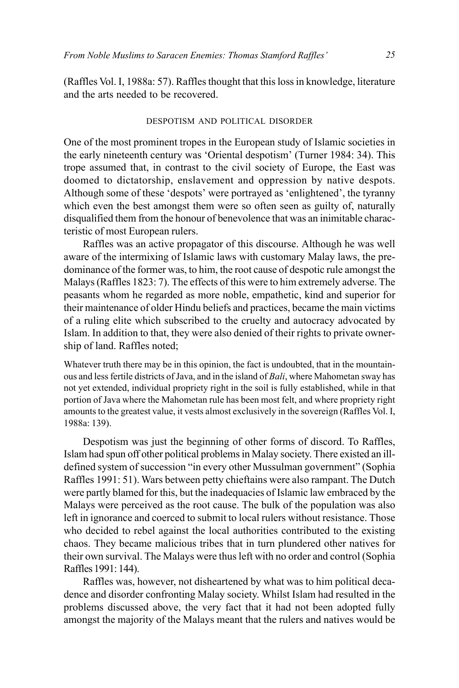(Raffles Vol. I, 1988a: 57). Raffles thought that this loss in knowledge, literature and the arts needed to be recovered.

## DESPOTISM AND POLITICAL DISORDER

One of the most prominent tropes in the European study of Islamic societies in the early nineteenth century was 'Oriental despotism' (Turner 1984: 34). This trope assumed that, in contrast to the civil society of Europe, the East was doomed to dictatorship, enslavement and oppression by native despots. Although some of these 'despots' were portrayed as 'enlightened', the tyranny which even the best amongst them were so often seen as guilty of, naturally disqualified them from the honour of benevolence that was an inimitable characteristic of most European rulers.

Raffles was an active propagator of this discourse. Although he was well aware of the intermixing of Islamic laws with customary Malay laws, the predominance of the former was, to him, the root cause of despotic rule amongst the Malays (Raffles 1823: 7). The effects of this were to him extremely adverse. The peasants whom he regarded as more noble, empathetic, kind and superior for their maintenance of older Hindu beliefs and practices, became the main victims of a ruling elite which subscribed to the cruelty and autocracy advocated by Islam. In addition to that, they were also denied of their rights to private ownership of land. Raffles noted;

Whatever truth there may be in this opinion, the fact is undoubted, that in the mountainous and less fertile districts of Java, and in the island of *Bali*, where Mahometan sway has not yet extended, individual propriety right in the soil is fully established, while in that portion of Java where the Mahometan rule has been most felt, and where propriety right amounts to the greatest value, it vests almost exclusively in the sovereign (Raffles Vol. I, 1988a: 139).

Despotism was just the beginning of other forms of discord. To Raffles, Islam had spun off other political problems in Malay society. There existed an illdefined system of succession "in every other Mussulman government" (Sophia Raffles 1991: 51). Wars between petty chieftains were also rampant. The Dutch were partly blamed for this, but the inadequacies of Islamic law embraced by the Malays were perceived as the root cause. The bulk of the population was also left in ignorance and coerced to submit to local rulers without resistance. Those who decided to rebel against the local authorities contributed to the existing chaos. They became malicious tribes that in turn plundered other natives for their own survival. The Malays were thus left with no order and control (Sophia Raffles 1991: 144).

Raffles was, however, not disheartened by what was to him political decadence and disorder confronting Malay society. Whilst Islam had resulted in the problems discussed above, the very fact that it had not been adopted fully amongst the majority of the Malays meant that the rulers and natives would be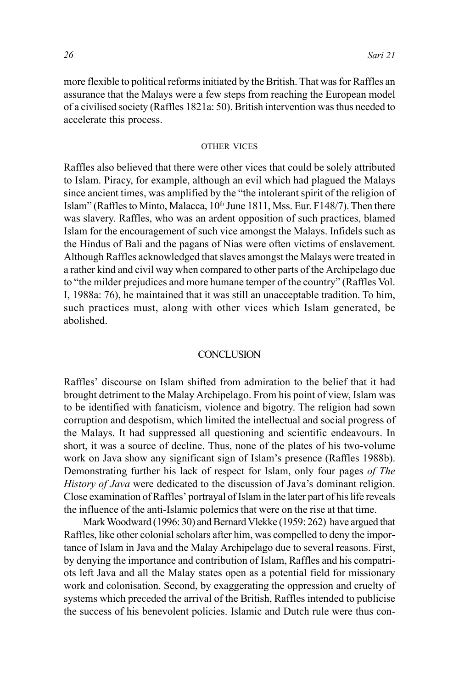more flexible to political reforms initiated by the British. That was for Raffles an assurance that the Malays were a few steps from reaching the European model of a civilised society (Raffles 1821a: 50). British intervention was thus needed to accelerate this process.

#### OTHER VICES

Raffles also believed that there were other vices that could be solely attributed to Islam. Piracy, for example, although an evil which had plagued the Malays since ancient times, was amplified by the "the intolerant spirit of the religion of Islam" (Raffles to Minto, Malacca, 10<sup>th</sup> June 1811, Mss. Eur. F148/7). Then there was slavery. Raffles, who was an ardent opposition of such practices, blamed Islam for the encouragement of such vice amongst the Malays. Infidels such as the Hindus of Bali and the pagans of Nias were often victims of enslavement. Although Raffles acknowledged that slaves amongst the Malays were treated in a rather kind and civil way when compared to other parts of the Archipelago due to "the milder prejudices and more humane temper of the country" (Raffles Vol. I, 1988a: 76), he maintained that it was still an unacceptable tradition. To him, such practices must, along with other vices which Islam generated, be abolished.

#### **CONCLUSION**

Raffles' discourse on Islam shifted from admiration to the belief that it had brought detriment to the Malay Archipelago. From his point of view, Islam was to be identified with fanaticism, violence and bigotry. The religion had sown corruption and despotism, which limited the intellectual and social progress of the Malays. It had suppressed all questioning and scientific endeavours. In short, it was a source of decline. Thus, none of the plates of his two-volume work on Java show any significant sign of Islam's presence (Raffles 1988b). Demonstrating further his lack of respect for Islam, only four pages *of The History of Java* were dedicated to the discussion of Java's dominant religion. Close examination of Raffles' portrayal of Islam in the later part of his life reveals the influence of the anti-Islamic polemics that were on the rise at that time.

Mark Woodward (1996: 30) and Bernard Vlekke (1959: 262) have argued that Raffles, like other colonial scholars after him, was compelled to deny the importance of Islam in Java and the Malay Archipelago due to several reasons. First, by denying the importance and contribution of Islam, Raffles and his compatriots left Java and all the Malay states open as a potential field for missionary work and colonisation. Second, by exaggerating the oppression and cruelty of systems which preceded the arrival of the British, Raffles intended to publicise the success of his benevolent policies. Islamic and Dutch rule were thus con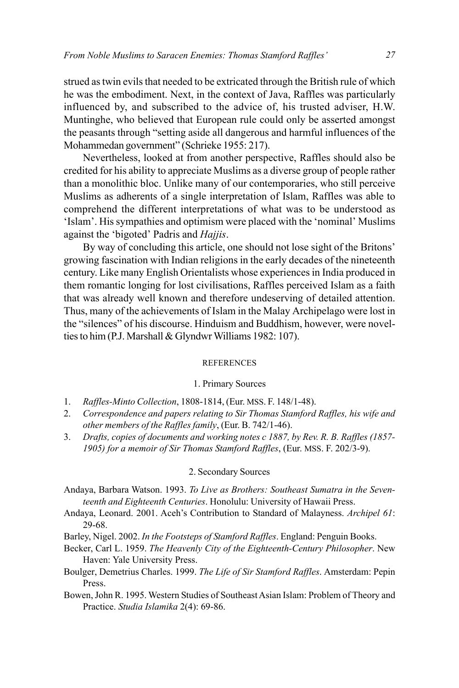strued as twin evils that needed to be extricated through the British rule of which he was the embodiment. Next, in the context of Java, Raffles was particularly influenced by, and subscribed to the advice of, his trusted adviser, H.W. Muntinghe, who believed that European rule could only be asserted amongst the peasants through "setting aside all dangerous and harmful influences of the Mohammedan government" (Schrieke 1955: 217).

Nevertheless, looked at from another perspective, Raffles should also be credited for his ability to appreciate Muslims as a diverse group of people rather than a monolithic bloc. Unlike many of our contemporaries, who still perceive Muslims as adherents of a single interpretation of Islam, Raffles was able to comprehend the different interpretations of what was to be understood as 'Islam'. His sympathies and optimism were placed with the 'nominal' Muslims against the 'bigoted' Padris and *Hajjis*.

By way of concluding this article, one should not lose sight of the Britons' growing fascination with Indian religions in the early decades of the nineteenth century. Like many English Orientalists whose experiences in India produced in them romantic longing for lost civilisations, Raffles perceived Islam as a faith that was already well known and therefore undeserving of detailed attention. Thus, many of the achievements of Islam in the Malay Archipelago were lost in the "silences" of his discourse. Hinduism and Buddhism, however, were novelties to him (P.J. Marshall & Glyndwr Williams 1982: 107).

#### REFERENCES

#### 1. Primary Sources

- 1. *Raffles-Minto Collection*, 1808-1814, (Eur. MSS. F. 148/1-48).
- 2. *Correspondence and papers relating to Sir Thomas Stamford Raffles, his wife and other members of the Raffles family*, (Eur. B. 742/1-46).
- 3. *Drafts, copies of documents and working notes c 1887, by Rev. R. B. Raffles (1857- 1905) for a memoir of Sir Thomas Stamford Raffles*, (Eur. MSS. F. 202/3-9).

# 2. Secondary Sources

- Andaya, Barbara Watson. 1993. *To Live as Brothers: Southeast Sumatra in the Seventeenth and Eighteenth Centuries*. Honolulu: University of Hawaii Press.
- Andaya, Leonard. 2001. Aceh's Contribution to Standard of Malayness. *Archipel 61*: 29-68.

Barley, Nigel. 2002. *In the Footsteps of Stamford Raffles*. England: Penguin Books.

- Becker, Carl L. 1959. *The Heavenly City of the Eighteenth-Century Philosopher*. New Haven: Yale University Press.
- Boulger, Demetrius Charles. 1999. *The Life of Sir Stamford Raffles*. Amsterdam: Pepin Press.
- Bowen, John R. 1995. Western Studies of Southeast Asian Islam: Problem of Theory and Practice. *Studia Islamika* 2(4): 69-86.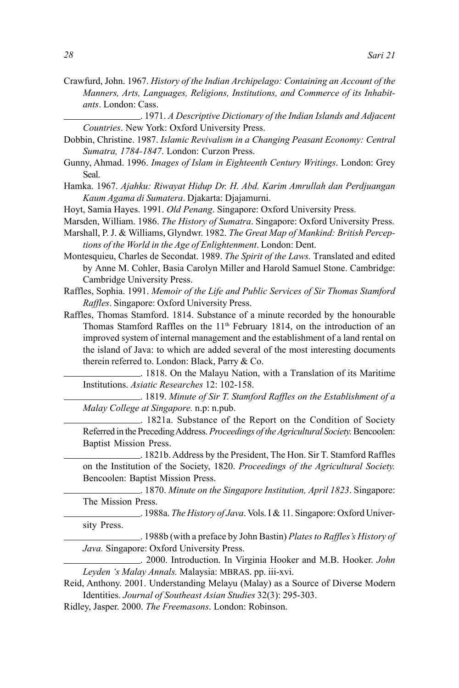- Crawfurd, John. 1967. *History of the Indian Archipelago: Containing an Account of the Manners, Arts, Languages, Religions, Institutions, and Commerce of its Inhabitants*. London: Cass.
- . 1971. *A Descriptive Dictionary of the Indian Islands and Adjacent Countries*. New York: Oxford University Press.
- Dobbin, Christine. 1987. *Islamic Revivalism in a Changing Peasant Economy: Central Sumatra, 1784-1847*. London: Curzon Press.
- Gunny, Ahmad. 1996. *Images of Islam in Eighteenth Century Writings*. London: Grey Seal.
- Hamka. 1967. *Ajahku: Riwayat Hidup Dr. H. Abd. Karim Amrullah dan Perdjuangan Kaum Agama di Sumatera*. Djakarta: Djajamurni.
- Hoyt, Samia Hayes. 1991. *Old Penang*. Singapore: Oxford University Press.
- Marsden, William. 1986. *The History of Sumatra*. Singapore: Oxford University Press.
- Marshall, P. J. & Williams, Glyndwr. 1982. *The Great Map of Mankind: British Perceptions of the World in the Age of Enlightenment*. London: Dent.
- Montesquieu, Charles de Secondat. 1989. *The Spirit of the Laws.* Translated and edited by Anne M. Cohler, Basia Carolyn Miller and Harold Samuel Stone. Cambridge: Cambridge University Press.
- Raffles, Sophia. 1991. *Memoir of the Life and Public Services of Sir Thomas Stamford Raffles*. Singapore: Oxford University Press.
- Raffles, Thomas Stamford. 1814. Substance of a minute recorded by the honourable Thomas Stamford Raffles on the 11<sup>th</sup> February 1814, on the introduction of an improved system of internal management and the establishment of a land rental on the island of Java: to which are added several of the most interesting documents therein referred to. London: Black, Parry & Co.

. 1818. On the Malayu Nation, with a Translation of its Maritime Institutions. *Asiatic Researches* 12: 102-158.

. 1819. *Minute of Sir T. Stamford Raffles on the Establishment of a Malay College at Singapore.* n.p: n.pub.

. 1821a. Substance of the Report on the Condition of Society Referred in the Preceding Address. *Proceedings of the Agricultural Society.* Bencoolen: Baptist Mission Press.

. 1821b. Address by the President, The Hon. Sir T. Stamford Raffles on the Institution of the Society, 1820. *Proceedings of the Agricultural Society.* Bencoolen: Baptist Mission Press.

. 1870. *Minute on the Singapore Institution, April 1823*. Singapore: The Mission Press.

. 1988a. *The History of Java*. Vols. I & 11. Singapore: Oxford University Press.

. 1988b (with a preface by John Bastin) *Plates to Raffles's History of Java.* Singapore: Oxford University Press.

. 2000. Introduction. In Virginia Hooker and M.B. Hooker. *John Leyden 's Malay Annals.* Malaysia: MBRAS. pp. iii-xvi.

Reid, Anthony. 2001. Understanding Melayu (Malay) as a Source of Diverse Modern Identities. *Journal of Southeast Asian Studies* 32(3): 295-303.

Ridley, Jasper. 2000. *The Freemasons*. London: Robinson.